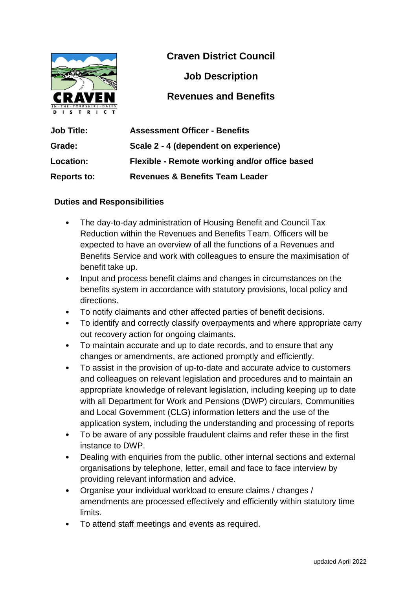

**Craven District Council**

**Job Description**

### **Revenues and Benefits**

| <b>Job Title:</b>  | <b>Assessment Officer - Benefits</b>          |
|--------------------|-----------------------------------------------|
| Grade:             | Scale 2 - 4 (dependent on experience)         |
| Location:          | Flexible - Remote working and/or office based |
| <b>Reports to:</b> | <b>Revenues &amp; Benefits Team Leader</b>    |

#### **Duties and Responsibilities**

- The day-to-day administration of Housing Benefit and Council Tax Reduction within the Revenues and Benefits Team. Officers will be expected to have an overview of all the functions of a Revenues and Benefits Service and work with colleagues to ensure the maximisation of benefit take up.
- Input and process benefit claims and changes in circumstances on the benefits system in accordance with statutory provisions, local policy and directions.
- To notify claimants and other affected parties of benefit decisions.
- To identify and correctly classify overpayments and where appropriate carry out recovery action for ongoing claimants.
- To maintain accurate and up to date records, and to ensure that any changes or amendments, are actioned promptly and efficiently.
- To assist in the provision of up-to-date and accurate advice to customers and colleagues on relevant legislation and procedures and to maintain an appropriate knowledge of relevant legislation, including keeping up to date with all Department for Work and Pensions (DWP) circulars, Communities and Local Government (CLG) information letters and the use of the application system, including the understanding and processing of reports
- To be aware of any possible fraudulent claims and refer these in the first instance to DWP.
- Dealing with enquiries from the public, other internal sections and external organisations by telephone, letter, email and face to face interview by providing relevant information and advice.
- Organise your individual workload to ensure claims / changes / amendments are processed effectively and efficiently within statutory time limits.
- To attend staff meetings and events as required.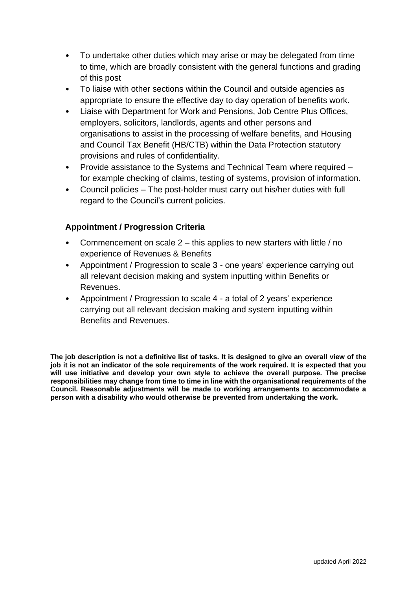- To undertake other duties which may arise or may be delegated from time to time, which are broadly consistent with the general functions and grading of this post
- To liaise with other sections within the Council and outside agencies as appropriate to ensure the effective day to day operation of benefits work.
- Liaise with Department for Work and Pensions, Job Centre Plus Offices, employers, solicitors, landlords, agents and other persons and organisations to assist in the processing of welfare benefits, and Housing and Council Tax Benefit (HB/CTB) within the Data Protection statutory provisions and rules of confidentiality.
- Provide assistance to the Systems and Technical Team where required for example checking of claims, testing of systems, provision of information.
- Council policies The post-holder must carry out his/her duties with full regard to the Council's current policies.

#### **Appointment / Progression Criteria**

- Commencement on scale 2 this applies to new starters with little / no experience of Revenues & Benefits
- Appointment / Progression to scale 3 one years' experience carrying out all relevant decision making and system inputting within Benefits or Revenues.
- Appointment / Progression to scale 4 a total of 2 years' experience carrying out all relevant decision making and system inputting within Benefits and Revenues.

**The job description is not a definitive list of tasks. It is designed to give an overall view of the job it is not an indicator of the sole requirements of the work required. It is expected that you will use initiative and develop your own style to achieve the overall purpose. The precise responsibilities may change from time to time in line with the organisational requirements of the Council. Reasonable adjustments will be made to working arrangements to accommodate a person with a disability who would otherwise be prevented from undertaking the work.**